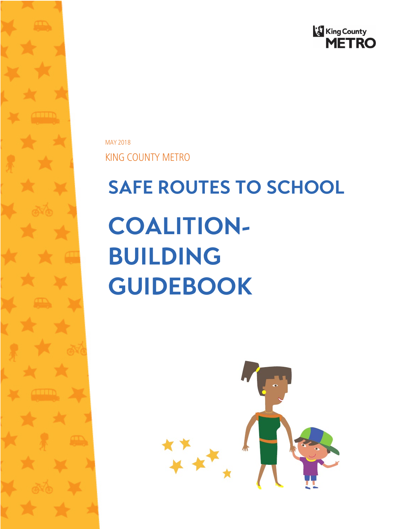

MAY 2018

KING COUNTY METRO

# **SAFE ROUTES TO SCHOOL COALITION-BUILDING GUIDEBOOK**

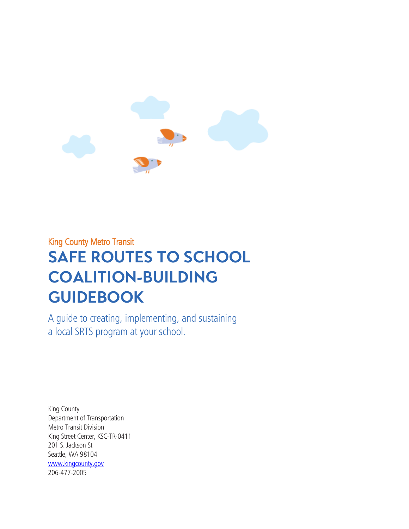

# King County Metro Transit **SAFE ROUTES TO SCHOOL COALITION-BUILDING GUIDEBOOK**

A guide to creating, implementing, and sustaining a local SRTS program at your school.

King County Department of Transportation Metro Transit Division King Street Center, KSC-TR-0411 201 S. Jackson St Seattle, WA 98104 [www.kingcounty.gov](http://www.kingcounty.gov/) 206-477-2005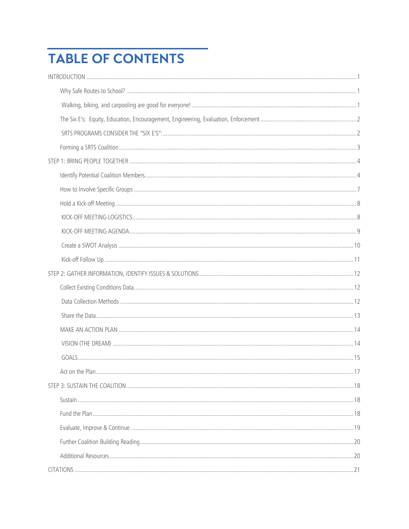# **TABLE OF CONTENTS**

| Act on the Plan |  |
|-----------------|--|
|                 |  |
|                 |  |
|                 |  |
|                 |  |
|                 |  |
|                 |  |
|                 |  |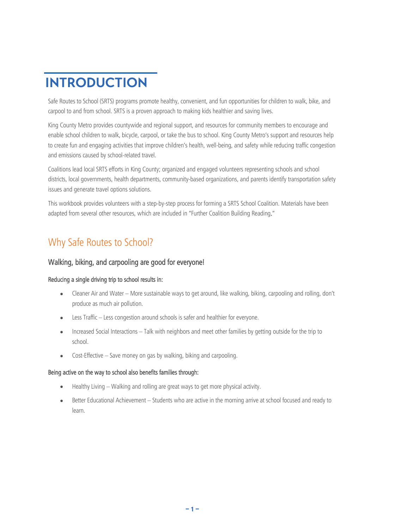# <span id="page-3-0"></span>**INTRODUCTION**

Safe Routes to School (SRTS) programs promote healthy, convenient, and fun opportunities for children to walk, bike, and carpool to and from school. SRTS is a proven approach to making kids healthier and saving lives.

King County Metro provides countywide and regional support, and resources for community members to encourage and enable school children to walk, bicycle, carpool, or take the bus to school. King County Metro's support and resources help to create fun and engaging activities that improve children's health, well-being, and safety while reducing traffic congestion and emissions caused by school-related travel.

Coalitions lead local SRTS efforts in King County; organized and engaged volunteers representing schools and school districts, local governments, health departments, community-based organizations, and parents identify transportation safety issues and generate travel options solutions.

This workbook provides volunteers with a step-by-step process for forming a SRTS School Coalition. Materials have been adapted from several other resources, which are included in ["Further Coalition Building Reading."](#page-21-0)

# <span id="page-3-1"></span>Why Safe Routes to School?

### <span id="page-3-2"></span>Walking, biking, and carpooling are good for everyone!

#### Reducing a single driving trip to school results in:

- Cleaner Air and Water More sustainable ways to get around, like walking, biking, carpooling and rolling, don't produce as much air pollution.
- Less Traffic Less congestion around schools is safer and healthier for everyone.
- Increased Social Interactions Talk with neighbors and meet other families by getting outside for the trip to school.
- Cost-Effective Save money on gas by walking, biking and carpooling.

#### Being active on the way to school also benefits families through:

- Healthy Living Walking and rolling are great ways to get more physical activity.
- Better Educational Achievement Students who are active in the morning arrive at school focused and ready to learn.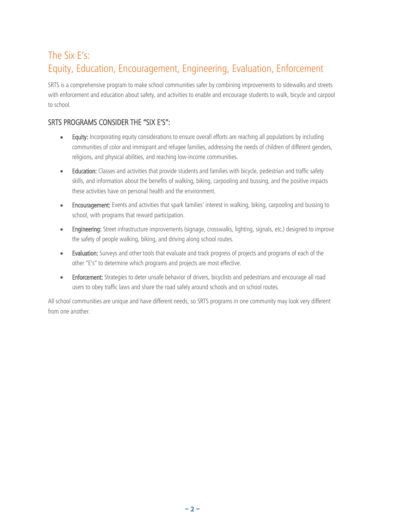# <span id="page-4-0"></span>The Six E's: Equity, Education, Encouragement, Engineering, Evaluation, Enforcement

SRTS is a comprehensive program to make school communities safer by combining improvements to sidewalks and streets with enforcement and education about safety, and activities to enable and encourage students to walk, bicycle and carpool to school.

### <span id="page-4-1"></span>SRTS PROGRAMS CONSIDER THE "SIX E'S":

- Equity: Incorporating equity considerations to ensure overall efforts are reaching all populations by including communities of color and immigrant and refugee families, addressing the needs of children of different genders, religions, and physical abilities, and reaching low-income communities.
- Education: Classes and activities that provide students and families with bicycle, pedestrian and traffic safety skills, and information about the benefits of walking, biking, carpooling and bussing, and the positive impacts these activities have on personal health and the environment.
- Encouragement: Events and activities that spark families' interest in walking, biking, carpooling and bussing to school, with programs that reward participation.
- Engineering: Street infrastructure improvements (signage, crosswalks, lighting, signals, etc.) designed to improve the safety of people walking, biking, and driving along school routes.
- Evaluation: Surveys and other tools that evaluate and track progress of projects and programs of each of the other "E's" to determine which programs and projects are most effective.
- Enforcement: Strategies to deter unsafe behavior of drivers, bicyclists and pedestrians and encourage all road users to obey traffic laws and share the road safely around schools and on school routes.

All school communities are unique and have different needs, so SRTS programs in one community may look very different from one another.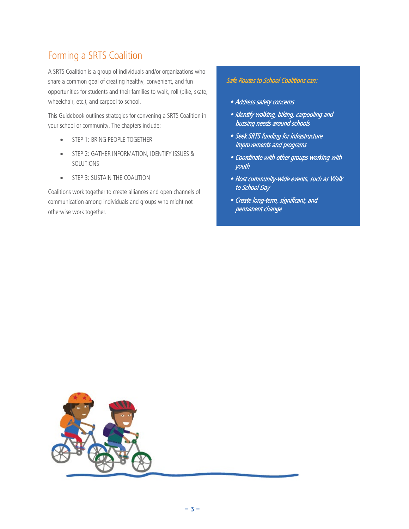# <span id="page-5-0"></span>Forming a SRTS Coalition

A SRTS Coalition is a group of individuals and/or organizations who share a common goal of creating healthy, convenient, and fun opportunities for students and their families to walk, roll (bike, skate, wheelchair, etc.), and carpool to school.

This Guidebook outlines strategies for convening a SRTS Coalition in your school or community. The chapters include:

- [STEP 1: BRING PEOPLE TOGETHER](#page-6-0)
- [STEP 2: GATHER INFORMATION, IDENTIFY ISSUES &](#page-13-0)  [SOLUTIONS](#page-13-0)
- [STEP 3: SUSTAIN THE COALITION](#page-19-0)

Coalitions work together to create alliances and open channels of communication among individuals and groups who might not otherwise work together.

### Safe Routes to School Coalitions can:

- Address safety concerns
- Identify walking, biking, carpooling and bussing needs around schools
- Seek SRTS funding for infrastructure improvements and programs
- Coordinate with other groups working with youth
- Host community-wide events, such as Walk to School Day
- Create long-term, significant, and permanent change

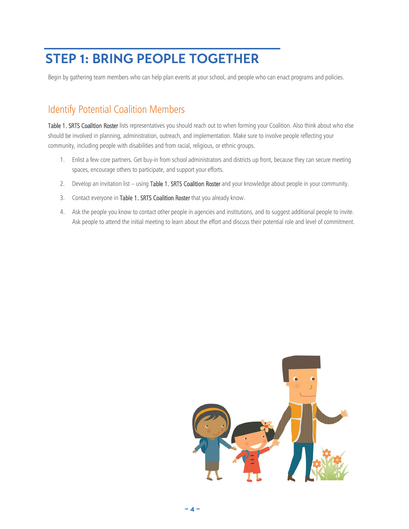# <span id="page-6-0"></span>**STEP 1: BRING PEOPLE TOGETHER**

Begin by gathering team members who can help plan events at your school, and people who can enact programs and policies.

### <span id="page-6-1"></span>Identify Potential Coalition Members

[Table 1. SRTS Coalition Roster](#page-7-0) lists representatives you should reach out to when forming your Coalition. Also think about who else should be involved in planning, administration, outreach, and implementation. Make sure to involve people reflecting your community, including people with disabilities and from racial, religious, or ethnic groups.

- 1. Enlist a few core partners. Get buy-in from school administrators and districts up front, because they can secure meeting spaces, encourage others to participate, and support your efforts.
- 2. Develop an invitation list using [Table 1. SRTS Coalition Roster](#page-7-0) and your knowledge about people in your community.
- 3. Contact everyone i[n Table 1. SRTS Coalition Roster](#page-7-0) that you already know.
- 4. Ask the people you know to contact other people in agencies and institutions, and to suggest additional people to invite. Ask people to attend the initial meeting to learn about the effort and discuss their potential role and level of commitment.

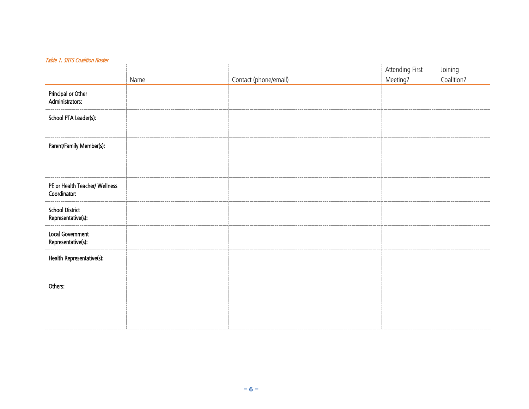<span id="page-7-0"></span>

| apic <i>11 Jihar Countien Hoster</i>           |      |                       | Attending First | Joining    |
|------------------------------------------------|------|-----------------------|-----------------|------------|
|                                                | Name | Contact (phone/email) | Meeting?        | Coalition? |
| Principal or Other<br>Administrators:          |      |                       |                 |            |
| School PTA Leader(s):                          |      |                       |                 |            |
| Parent/Family Member(s):                       |      |                       |                 |            |
| PE or Health Teacher/ Wellness<br>Coordinator: |      |                       |                 |            |
| School District<br>Representative(s):          |      |                       |                 |            |
| Local Government<br>Representative(s):         |      |                       |                 |            |
| Health Representative(s):                      |      |                       |                 |            |
| Others:                                        |      |                       |                 |            |
|                                                |      |                       |                 |            |

#### Table 1. SRTS Coalition Roster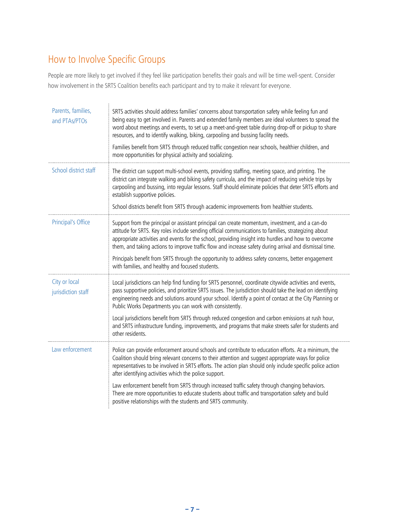# <span id="page-8-0"></span>How to Involve Specific Groups

People are more likely to get involved if they feel like participation benefits their goals and will be time well-spent. Consider how involvement in the SRTS Coalition benefits each participant and try to make it relevant for everyone.

| Parents, families,<br>and PTAs/PTOs | SRTS activities should address families' concerns about transportation safety while feeling fun and<br>being easy to get involved in. Parents and extended family members are ideal volunteers to spread the<br>word about meetings and events, to set up a meet-and-greet table during drop-off or pickup to share<br>resources, and to identify walking, biking, carpooling and bussing facility needs.<br>Families benefit from SRTS through reduced traffic congestion near schools, healthier children, and<br>more opportunities for physical activity and socializing.                                                                               |
|-------------------------------------|-------------------------------------------------------------------------------------------------------------------------------------------------------------------------------------------------------------------------------------------------------------------------------------------------------------------------------------------------------------------------------------------------------------------------------------------------------------------------------------------------------------------------------------------------------------------------------------------------------------------------------------------------------------|
| School district staff               | The district can support multi-school events, providing staffing, meeting space, and printing. The<br>district can integrate walking and biking safety curricula, and the impact of reducing vehicle trips by<br>carpooling and bussing, into regular lessons. Staff should eliminate policies that deter SRTS efforts and<br>establish supportive policies.<br>School districts benefit from SRTS through academic improvements from healthier students.                                                                                                                                                                                                   |
| Principal's Office                  | Support from the principal or assistant principal can create momentum, investment, and a can-do<br>attitude for SRTS. Key roles include sending official communications to families, strategizing about<br>appropriate activities and events for the school, providing insight into hurdles and how to overcome<br>them, and taking actions to improve traffic flow and increase safety during arrival and dismissal time.<br>Principals benefit from SRTS through the opportunity to address safety concerns, better engagement<br>with families, and healthy and focused students.                                                                        |
| City or local<br>jurisdiction staff | Local jurisdictions can help find funding for SRTS personnel, coordinate citywide activities and events,<br>pass supportive policies, and prioritize SRTS issues. The jurisdiction should take the lead on identifying<br>engineering needs and solutions around your school. Identify a point of contact at the City Planning or<br>Public Works Departments you can work with consistently.<br>Local jurisdictions benefit from SRTS through reduced congestion and carbon emissions at rush hour,<br>and SRTS infrastructure funding, improvements, and programs that make streets safer for students and<br>other residents.                            |
| Law enforcement                     | Police can provide enforcement around schools and contribute to education efforts. At a minimum, the<br>Coalition should bring relevant concerns to their attention and suggest appropriate ways for police<br>representatives to be involved in SRTS efforts. The action plan should only include specific police action<br>after identifying activities which the police support.<br>Law enforcement benefit from SRTS through increased traffic safety through changing behaviors.<br>There are more opportunities to educate students about traffic and transportation safety and build<br>positive relationships with the students and SRTS community. |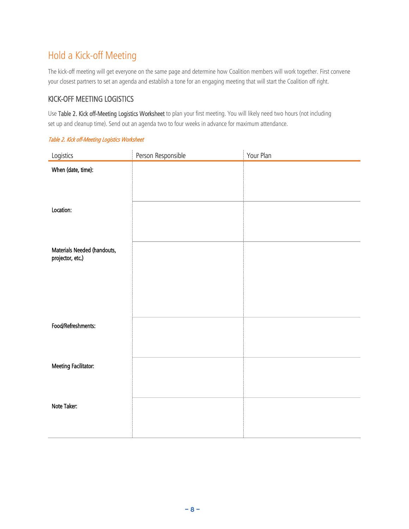# <span id="page-9-0"></span>Hold a Kick-off Meeting

The kick-off meeting will get everyone on the same page and determine how Coalition members will work together. First convene your closest partners to set an agenda and establish a tone for an engaging meeting that will start the Coalition off right.

### <span id="page-9-1"></span>KICK-OFF MEETING LOGISTICS

Us[e Table 2. Kick off-Meeting Logistics Worksheet](#page-9-2) to plan your first meeting. You will likely need two hours (not including set up and cleanup time). Send out an agenda two to four weeks in advance for maximum attendance.

| Logistics                                       | Person Responsible | Your Plan |
|-------------------------------------------------|--------------------|-----------|
| When (date, time):                              |                    |           |
|                                                 |                    |           |
|                                                 |                    |           |
| Location:                                       |                    |           |
|                                                 |                    |           |
|                                                 |                    |           |
|                                                 |                    |           |
| Materials Needed (handouts,<br>projector, etc.) |                    |           |
|                                                 |                    |           |
|                                                 |                    |           |
|                                                 |                    |           |
|                                                 |                    |           |
|                                                 |                    |           |
| Food/Refreshments:                              |                    |           |
|                                                 |                    |           |
|                                                 |                    |           |
| Meeting Facilitator:                            |                    |           |
|                                                 |                    |           |
|                                                 |                    |           |
| Note Taker:                                     |                    |           |
|                                                 |                    |           |
|                                                 |                    |           |

### <span id="page-9-2"></span>Table 2. Kick off-Meeting Logistics Worksheet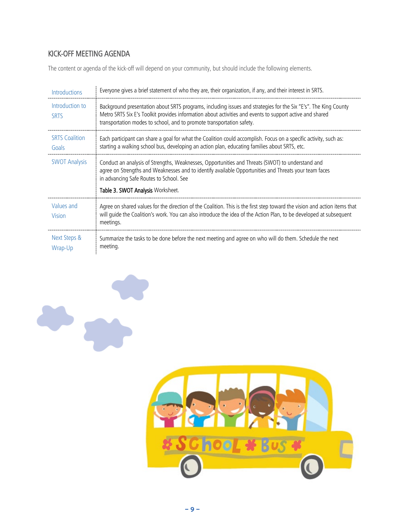### <span id="page-10-0"></span>KICK-OFF MEETING AGENDA

The content or agenda of the kick-off will depend on your community, but should include the following elements.

| <b>Introductions</b>           | Everyone gives a brief statement of who they are, their organization, if any, and their interest in SRTS.                                                                                                                                                                                            |
|--------------------------------|------------------------------------------------------------------------------------------------------------------------------------------------------------------------------------------------------------------------------------------------------------------------------------------------------|
| Introduction to<br><b>SRTS</b> | Background presentation about SRTS programs, including issues and strategies for the Six "E's". The King County<br>Metro SRTS Six E's Toolkit provides information about activities and events to support active and shared<br>transportation modes to school, and to promote transportation safety. |
| <b>SRTS Coalition</b><br>Goals | Each participant can share a goal for what the Coalition could accomplish. Focus on a specific activity, such as:<br>starting a walking school bus, developing an action plan, educating families about SRTS, etc.                                                                                   |
| <b>SWOT Analysis</b>           | Conduct an analysis of Strengths, Weaknesses, Opportunities and Threats (SWOT) to understand and<br>agree on Strengths and Weaknesses and to identify available Opportunities and Threats your team faces<br>in advancing Safe Routes to School. See<br>Table 3. SWOT Analysis Worksheet.            |
| Values and<br>Vision           | Agree on shared values for the direction of the Coalition. This is the first step toward the vision and action items that<br>will quide the Coalition's work. You can also introduce the idea of the Action Plan, to be developed at subsequent<br>meetings.                                         |
| Next Steps &<br>Wrap-Up        | Summarize the tasks to be done before the next meeting and agree on who will do them. Schedule the next<br>meeting.                                                                                                                                                                                  |

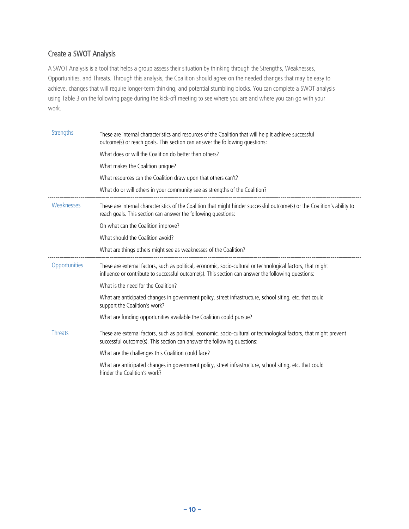### <span id="page-11-0"></span>Create a SWOT Analysis

A SWOT Analysis is a tool that helps a group assess their situation by thinking through the Strengths, Weaknesses, Opportunities, and Threats. Through this analysis, the Coalition should agree on the needed changes that may be easy to achieve, changes that will require longer-term thinking, and potential stumbling blocks. You can complete a SWOT analysis using [Table 3](#page-12-1) on the following page during the kick-off meeting to see where you are and where you can go with your work.

<span id="page-11-1"></span>

| <b>Strengths</b> | These are internal characteristics and resources of the Coalition that will help it achieve successful<br>outcome(s) or reach goals. This section can answer the following questions:<br>What does or will the Coalition do better than others?<br>What makes the Coalition unique?<br>What resources can the Coalition draw upon that others can't? |
|------------------|------------------------------------------------------------------------------------------------------------------------------------------------------------------------------------------------------------------------------------------------------------------------------------------------------------------------------------------------------|
|                  | What do or will others in your community see as strengths of the Coalition?                                                                                                                                                                                                                                                                          |
| Weaknesses       | These are internal characteristics of the Coalition that might hinder successful outcome(s) or the Coalition's ability to<br>reach goals. This section can answer the following questions:<br>On what can the Coalition improve?                                                                                                                     |
|                  | What should the Coalition avoid?                                                                                                                                                                                                                                                                                                                     |
|                  | What are things others might see as weaknesses of the Coalition?                                                                                                                                                                                                                                                                                     |
| Opportunities    | These are external factors, such as political, economic, socio-cultural or technological factors, that might<br>influence or contribute to successful outcome(s). This section can answer the following questions:<br>What is the need for the Coalition?                                                                                            |
|                  | What are anticipated changes in government policy, street infrastructure, school siting, etc. that could<br>support the Coalition's work?                                                                                                                                                                                                            |
|                  | What are funding opportunities available the Coalition could pursue?                                                                                                                                                                                                                                                                                 |
| <b>Threats</b>   | These are external factors, such as political, economic, socio-cultural or technological factors, that might prevent<br>successful outcome(s). This section can answer the following questions:<br>What are the challenges this Coalition could face?                                                                                                |
|                  | What are anticipated changes in government policy, street infrastructure, school siting, etc. that could<br>hinder the Coalition's work?                                                                                                                                                                                                             |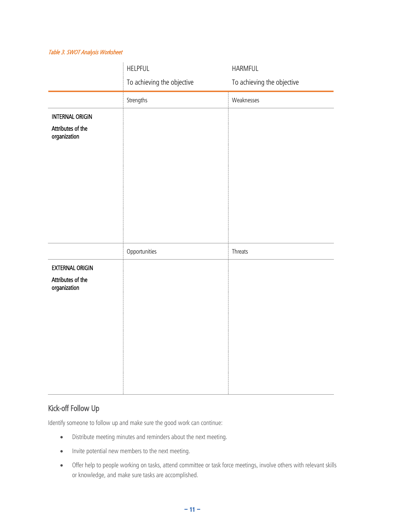#### <span id="page-12-1"></span>Table 3. SWOT Analysis Worksheet

|                                                             | <b>HELPFUL</b>             | HARMFUL                    |
|-------------------------------------------------------------|----------------------------|----------------------------|
|                                                             | To achieving the objective | To achieving the objective |
|                                                             | Strengths                  | Weaknesses                 |
| <b>INTERNAL ORIGIN</b>                                      |                            |                            |
| Attributes of the<br>organization                           |                            |                            |
|                                                             | Opportunities              | Threats                    |
| <b>EXTERNAL ORIGIN</b><br>Attributes of the<br>organization |                            |                            |

### <span id="page-12-0"></span>Kick-off Follow Up

Identify someone to follow up and make sure the good work can continue:

- Distribute meeting minutes and reminders about the next meeting.
- Invite potential new members to the next meeting.
- Offer help to people working on tasks, attend committee or task force meetings, involve others with relevant skills or knowledge, and make sure tasks are accomplished.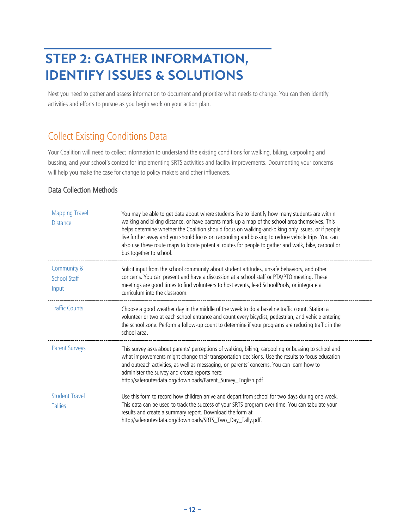# <span id="page-13-0"></span>**STEP 2: GATHER INFORMATION, IDENTIFY ISSUES & SOLUTIONS**

Next you need to gather and assess information to document and prioritize what needs to change. You can then identify activities and efforts to pursue as you begin work on your action plan.

### <span id="page-13-1"></span>Collect Existing Conditions Data

Your Coalition will need to collect information to understand the existing conditions for walking, biking, carpooling and bussing, and your school's context for implementing SRTS activities and facility improvements. Documenting your concerns will help you make the case for change to policy makers and other influencers.

### <span id="page-13-2"></span>Data Collection Methods

| <b>Mapping Travel</b><br><b>Distance</b>    | You may be able to get data about where students live to identify how many students are within<br>walking and biking distance, or have parents mark-up a map of the school area themselves. This<br>helps determine whether the Coalition should focus on walking-and-biking only issues, or if people<br>live further away and you should focus on carpooling and bussing to reduce vehicle trips. You can<br>also use these route maps to locate potential routes for people to gather and walk, bike, carpool or<br>bus together to school. |
|---------------------------------------------|------------------------------------------------------------------------------------------------------------------------------------------------------------------------------------------------------------------------------------------------------------------------------------------------------------------------------------------------------------------------------------------------------------------------------------------------------------------------------------------------------------------------------------------------|
| Community &<br><b>School Staff</b><br>Input | Solicit input from the school community about student attitudes, unsafe behaviors, and other<br>concerns. You can present and have a discussion at a school staff or PTA/PTO meeting. These<br>meetings are good times to find volunteers to host events, lead SchoolPools, or integrate a<br>curriculum into the classroom.                                                                                                                                                                                                                   |
| <b>Traffic Counts</b>                       | Choose a good weather day in the middle of the week to do a baseline traffic count. Station a<br>volunteer or two at each school entrance and count every bicyclist, pedestrian, and vehicle entering<br>the school zone. Perform a follow-up count to determine if your programs are reducing traffic in the<br>school area.                                                                                                                                                                                                                  |
| <b>Parent Surveys</b>                       | This survey asks about parents' perceptions of walking, biking, carpooling or bussing to school and<br>what improvements might change their transportation decisions. Use the results to focus education<br>and outreach activities, as well as messaging, on parents' concerns. You can learn how to<br>administer the survey and create reports here:<br>http://saferoutesdata.org/downloads/Parent_Survey_English.pdf                                                                                                                       |
| <b>Student Travel</b><br><b>Tallies</b>     | Use this form to record how children arrive and depart from school for two days during one week.<br>This data can be used to track the success of your SRTS program over time. You can tabulate your<br>results and create a summary report. Download the form at<br>http://saferoutesdata.org/downloads/SRTS_Two_Day_Tally.pdf.                                                                                                                                                                                                               |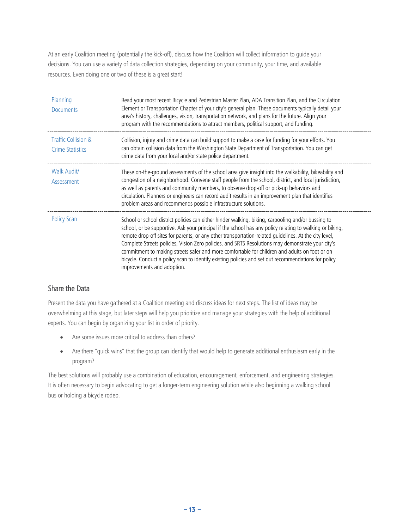At an early Coalition meeting (potentially the kick-off), discuss how the Coalition will collect information to guide your decisions. You can use a variety of data collection strategies, depending on your community, your time, and available resources. Even doing one or two of these is a great start!

| Planning<br><b>Documents</b>                   | Read your most recent Bicycle and Pedestrian Master Plan, ADA Transition Plan, and the Circulation<br>Element or Transportation Chapter of your city's general plan. These documents typically detail your<br>area's history, challenges, vision, transportation network, and plans for the future. Align your<br>program with the recommendations to attract members, political support, and funding.                                                                                                                                                                                                                                                             |
|------------------------------------------------|--------------------------------------------------------------------------------------------------------------------------------------------------------------------------------------------------------------------------------------------------------------------------------------------------------------------------------------------------------------------------------------------------------------------------------------------------------------------------------------------------------------------------------------------------------------------------------------------------------------------------------------------------------------------|
| Traffic Collision &<br><b>Crime Statistics</b> | Collision, injury and crime data can build support to make a case for funding for your efforts. You<br>can obtain collision data from the Washington State Department of Transportation. You can get<br>crime data from your local and/or state police department.                                                                                                                                                                                                                                                                                                                                                                                                 |
| Walk Audit/<br>Assessment                      | These on-the-ground assessments of the school area give insight into the walkability, bikeability and<br>congestion of a neighborhood. Convene staff people from the school, district, and local jurisdiction,<br>as well as parents and community members, to observe drop-off or pick-up behaviors and<br>circulation. Planners or engineers can record audit results in an improvement plan that identifies<br>problem areas and recommends possible infrastructure solutions.                                                                                                                                                                                  |
| <b>Policy Scan</b>                             | School or school district policies can either hinder walking, biking, carpooling and/or bussing to<br>school, or be supportive. Ask your principal if the school has any policy relating to walking or biking,<br>remote drop-off sites for parents, or any other transportation-related quidelines. At the city level,<br>Complete Streets policies, Vision Zero policies, and SRTS Resolutions may demonstrate your city's<br>commitment to making streets safer and more comfortable for children and adults on foot or on<br>bicycle. Conduct a policy scan to identify existing policies and set out recommendations for policy<br>improvements and adoption. |

### <span id="page-14-0"></span>Share the Data

Present the data you have gathered at a Coalition meeting and discuss ideas for next steps. The list of ideas may be overwhelming at this stage, but later steps will help you prioritize and manage your strategies with the help of additional experts. You can begin by organizing your list in order of priority.

- Are some issues more critical to address than others?
- Are there "quick wins" that the group can identify that would help to generate additional enthusiasm early in the program?

The best solutions will probably use a combination of education, encouragement, enforcement, and engineering strategies. It is often necessary to begin advocating to get a longer-term engineering solution while also beginning a walking school bus or holding a bicycle rodeo.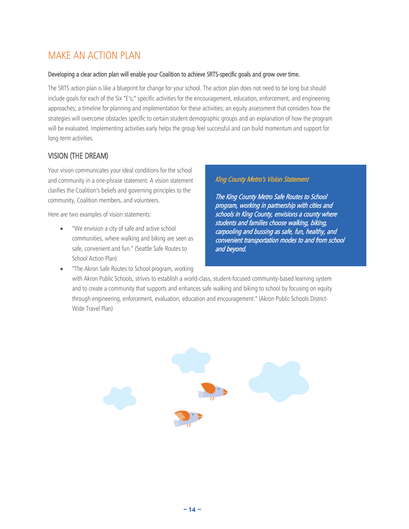### <span id="page-15-0"></span>MAKE AN ACTION PLAN

#### Developing a clear action plan will enable your Coalition to achieve SRTS-specific goals and grow over time.

The SRTS action plan is like a blueprint for change for your school. The action plan does not need to be long but should include goals for each of the Six "E's;" specific activities for the encouragement, education, enforcement, and engineering approaches; a timeline for planning and implementation for these activities; an equity assessment that considers how the strategies will overcome obstacles specific to certain student demographic groups and an explanation of how the program will be evaluated. Implementing activities early helps the group feel successful and can build momentum and support for long-term activities.

### <span id="page-15-1"></span>VISION (THE DREAM)

Your vision communicates your ideal conditions for the school and community in a one-phrase statement. A vision statement clarifies the Coalition's beliefs and governing principles to the community, Coalition members, and volunteers.

Here are two examples of vision statements:

"We envision a city of safe and active school communities, where walking and biking are seen as safe, convenient and fun." (Seattle Safe Routes to School Action Plan)

• "The Akron Safe Routes to School program, working

### King County Metro's Vision Statement

The King County Metro Safe Routes to School program, working in partnership with cities and schools in King County, envisions a county where students and families choose walking, biking, carpooling and bussing as safe, fun, healthy, and convenient transportation modes to and from school and beyond.

with Akron Public Schools, strives to establish a world-class, student-focused community-based learning system and to create a community that supports and enhances safe walking and biking to school by focusing on equity through engineering, enforcement, evaluation, education and encouragement." (Akron Public Schools District-Wide Travel Plan)

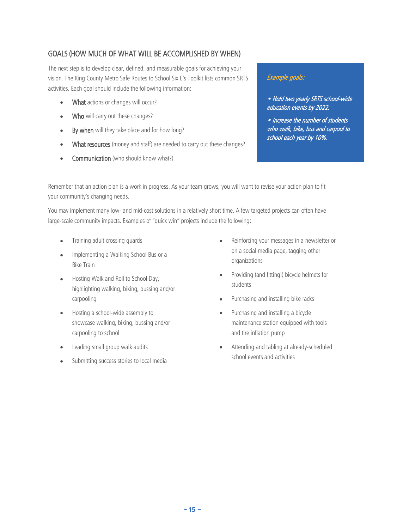### <span id="page-16-0"></span>GOALS (HOW MUCH OF WHAT WILL BE ACCOMPLISHED BY WHEN)

The next step is to develop clear, defined, and measurable goals for achieving your vision. The King County Metro Safe Routes to School Six E's Toolkit lists common SRTS activities. Each goal should include the following information:

- What actions or changes will occur?
- Who will carry out these changes?
- By when will they take place and for how long?
- What resources (money and staff) are needed to carry out these changes?
- Communication (who should know what?)

### Example goals:

• Hold two yearly SRTS school-wide education events by 2022.

• Increase the number of students who walk, bike, bus and carpool to school each year by 10%.

Remember that an action plan is a work in progress. As your team grows, you will want to revise your action plan to fit your community's changing needs.

You may implement many low- and mid-cost solutions in a relatively short time. A few targeted projects can often have large-scale community impacts. Examples of "quick win" projects include the following:

- Training adult crossing guards
- Implementing a Walking School Bus or a Bike Train
- Hosting Walk and Roll to School Day, highlighting walking, biking, bussing and/or carpooling
- Hosting a school-wide assembly to showcase walking, biking, bussing and/or carpooling to school
- Leading small group walk audits
- Submitting success stories to local media
- Reinforcing your messages in a newsletter or on a social media page, tagging other organizations
- Providing (and fitting!) bicycle helmets for students
- Purchasing and installing bike racks
- Purchasing and installing a bicycle maintenance station equipped with tools and tire inflation pump
- Attending and tabling at already-scheduled school events and activities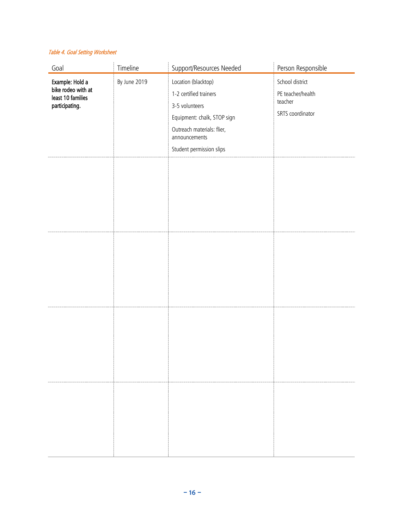#### Table 4. Goal Setting Worksheet

| Goal                                                                         | Timeline     | Support/Resources Needed                                                                                                                                                  | Person Responsible                                                  |
|------------------------------------------------------------------------------|--------------|---------------------------------------------------------------------------------------------------------------------------------------------------------------------------|---------------------------------------------------------------------|
| Example: Hold a<br>bike rodeo with at<br>least 10 families<br>participating. | By June 2019 | Location (blacktop)<br>1-2 certified trainers<br>3-5 volunteers<br>Equipment: chalk, STOP sign<br>Outreach materials: flier,<br>announcements<br>Student permission slips | School district<br>PE teacher/health<br>teacher<br>SRTS coordinator |
|                                                                              |              |                                                                                                                                                                           |                                                                     |
|                                                                              |              |                                                                                                                                                                           |                                                                     |
|                                                                              |              |                                                                                                                                                                           |                                                                     |
|                                                                              |              |                                                                                                                                                                           |                                                                     |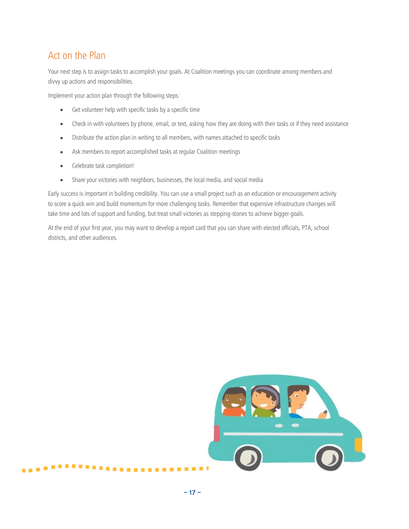## <span id="page-18-0"></span>Act on the Plan

Your next step is to assign tasks to accomplish your goals. At Coalition meetings you can coordinate among members and divvy up actions and responsibilities.

Implement your action plan through the following steps:

- Get volunteer help with specific tasks by a specific time
- Check in with volunteers by phone, email, or text, asking how they are doing with their tasks or if they need assistance
- Distribute the action plan in writing to all members, with names attached to specific tasks
- Ask members to report accomplished tasks at regular Coalition meetings
- Celebrate task completion!

.........

• Share your victories with neighbors, businesses, the local media, and social media

Early success is important in building credibility. You can use a small project such as an education or encouragement activity to score a quick win and build momentum for more challenging tasks. Remember that expensive infrastructure changes will take time and lots of support and funding, but treat small victories as stepping-stones to achieve bigger goals.

At the end of your first year, you may want to develop a report card that you can share with elected officials, PTA, school districts, and other audiences.

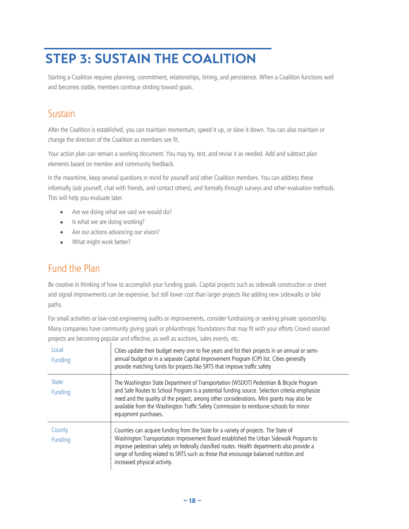# <span id="page-19-0"></span>**STEP 3: SUSTAIN THE COALITION**

Starting a Coalition requires planning, commitment, relationships, timing, and persistence. When a Coalition functions well and becomes stable, members continue striding toward goals.

### <span id="page-19-1"></span>Sustain

After the Coalition is established, you can maintain momentum, speed it up, or slow it down. You can also maintain or change the direction of the Coalition as members see fit.

Your action plan can remain a working document. You may try, test, and revise it as needed. Add and subtract plan elements based on member and community feedback.

In the meantime, keep several questions in mind for yourself and other Coalition members. You can address these informally (ask yourself, chat with friends, and contact others), and formally through surveys and other evaluation methods. This will help you evaluate later.

- Are we doing what we said we would do?
- Is what we are doing working?
- Are our actions advancing our vision?
- What might work better?

### <span id="page-19-2"></span>Fund the Plan

Be creative in thinking of how to accomplish your funding goals. Capital projects such as sidewalk construction or street and signal improvements can be expensive, but still lower cost than larger projects like adding new sidewalks or bike paths.

For small activities or low-cost engineering audits or improvements, consider fundraising or seeking private sponsorship. Many companies have community giving goals or philanthropic foundations that may fit with your efforts Crowd sourced projects are becoming popular and effective, as well as auctions, sales events, etc.

| Local<br>Funding               | Cities update their budget every one to five years and list their projects in an annual or semi-<br>annual budget or in a separate Capital Improvement Program (CIP) list. Cities generally<br>provide matching funds for projects like SRTS that improve traffic safety                                                                                                                              |
|--------------------------------|-------------------------------------------------------------------------------------------------------------------------------------------------------------------------------------------------------------------------------------------------------------------------------------------------------------------------------------------------------------------------------------------------------|
| <b>State</b><br><b>Funding</b> | The Washington State Department of Transportation (WSDOT) Pedestrian & Bicycle Program<br>and Safe Routes to School Program is a potential funding source. Selection criteria emphasize<br>need and the quality of the project, among other considerations. Mini grants may also be<br>available from the Washington Traffic Safety Commission to reimburse schools for minor<br>equipment purchases. |
| County<br>Funding              | Counties can acquire funding from the State for a variety of projects. The State of<br>Washington Transportation Improvement Board established the Urban Sidewalk Program to<br>improve pedestrian safety on federally classified routes. Health departments also provide a<br>range of funding related to SRTS such as those that encourage balanced nutrition and<br>increased physical activity.   |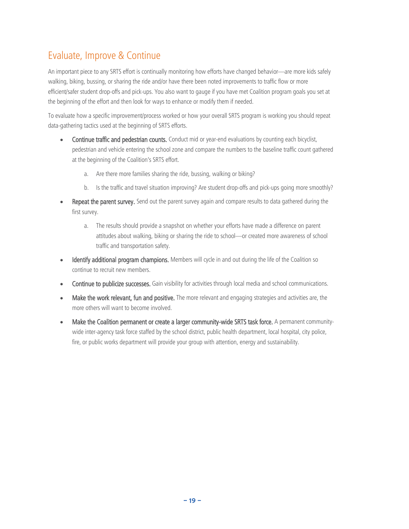# <span id="page-20-0"></span>Evaluate, Improve & Continue

An important piece to any SRTS effort is continually monitoring how efforts have changed behavior—are more kids safely walking, biking, bussing, or sharing the ride and/or have there been noted improvements to traffic flow or more efficient/safer student drop-offs and pick-ups. You also want to gauge if you have met Coalition program goals you set at the beginning of the effort and then look for ways to enhance or modify them if needed.

To evaluate how a specific improvement/process worked or how your overall SRTS program is working you should repeat data-gathering tactics used at the beginning of SRTS efforts.

- Continue traffic and pedestrian counts. Conduct mid or year-end evaluations by counting each bicyclist, pedestrian and vehicle entering the school zone and compare the numbers to the baseline traffic count gathered at the beginning of the Coalition's SRTS effort.
	- a. Are there more families sharing the ride, bussing, walking or biking?
	- b. Is the traffic and travel situation improving? Are student drop-offs and pick-ups going more smoothly?
- Repeat the parent survey. Send out the parent survey again and compare results to data gathered during the first survey.
	- a. The results should provide a snapshot on whether your efforts have made a difference on parent attitudes about walking, biking or sharing the ride to school—or created more awareness of school traffic and transportation safety.
- Identify additional program champions. Members will cycle in and out during the life of the Coalition so continue to recruit new members.
- Continue to publicize successes. Gain visibility for activities through local media and school communications.
- Make the work relevant, fun and positive. The more relevant and engaging strategies and activities are, the more others will want to become involved.
- Make the Coalition permanent or create a larger community-wide SRTS task force. A permanent communitywide inter-agency task force staffed by the school district, public health department, local hospital, city police, fire, or public works department will provide your group with attention, energy and sustainability.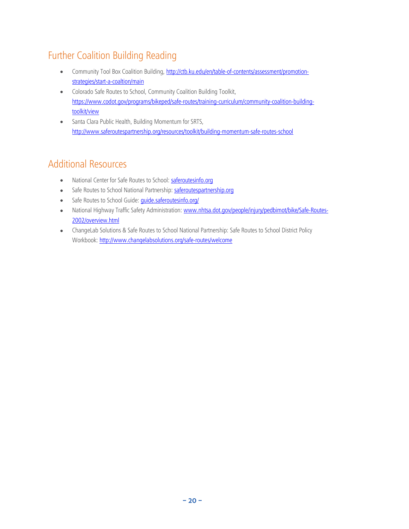# <span id="page-21-0"></span>Further Coalition Building Reading

- Community Tool Box Coalition Building, [http://ctb.ku.edu/en/table-of-contents/assessment/promotion](http://ctb.ku.edu/en/table-of-contents/assessment/promotion-strategies/start-a-coaltion/main)[strategies/start-a-coaltion/main](http://ctb.ku.edu/en/table-of-contents/assessment/promotion-strategies/start-a-coaltion/main)
- Colorado Safe Routes to School, Community Coalition Building Toolkit, [https://www.codot.gov/programs/bikeped/safe-routes/training-curriculum/community-coalition-building](https://www.codot.gov/programs/bikeped/safe-routes/training-curriculum/community-coalition-building-toolkit/view)[toolkit/view](https://www.codot.gov/programs/bikeped/safe-routes/training-curriculum/community-coalition-building-toolkit/view)
- Santa Clara Public Health, Building Momentum for SRTS, <http://www.saferoutespartnership.org/resources/toolkit/building-momentum-safe-routes-school>

# <span id="page-21-1"></span>Additional Resources

- National Center for Safe Routes to School: [saferoutesinfo.org](http://www.saferoutesinfo.org/)
- Safe Routes to School National Partnership: [saferoutespartnership.org](https://www.saferoutespartnership.org/)
- Safe Routes to School Guide: *quide.saferoutesinfo.org/*
- National Highway Traffic Safety Administration: [www.nhtsa.dot.gov/people/injury/pedbimot/bike/Safe-Routes-](http://www.nhtsa.dot.gov/people/injury/pedbimot/bike/Safe-Routes-2002/overview.html)[2002/overview.html](http://www.nhtsa.dot.gov/people/injury/pedbimot/bike/Safe-Routes-2002/overview.html)
- ChangeLab Solutions & Safe Routes to School National Partnership: Safe Routes to School District Policy Workbook:<http://www.changelabsolutions.org/safe-routes/welcome>